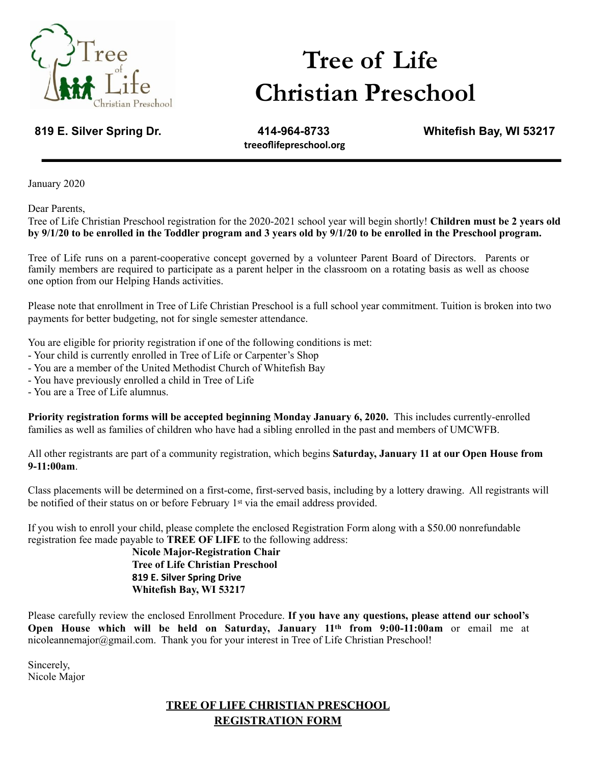

# **Tree of Life Christian Preschool**

**treeoflifepreschool.org** 

**819 E. Silver Spring Dr. 414-964-8733 Whitefish Bay, WI 53217**

January 2020

Dear Parents,

Tree of Life Christian Preschool registration for the 2020-2021 school year will begin shortly! **Children must be 2 years old by 9/1/20 to be enrolled in the Toddler program and 3 years old by 9/1/20 to be enrolled in the Preschool program.** 

Tree of Life runs on a parent-cooperative concept governed by a volunteer Parent Board of Directors. Parents or family members are required to participate as a parent helper in the classroom on a rotating basis as well as choose one option from our Helping Hands activities.

Please note that enrollment in Tree of Life Christian Preschool is a full school year commitment. Tuition is broken into two payments for better budgeting, not for single semester attendance.

You are eligible for priority registration if one of the following conditions is met:

- Your child is currently enrolled in Tree of Life or Carpenter's Shop
- You are a member of the United Methodist Church of Whitefish Bay
- You have previously enrolled a child in Tree of Life
- You are a Tree of Life alumnus.

**Priority registration forms will be accepted beginning Monday January 6, 2020.** This includes currently-enrolled families as well as families of children who have had a sibling enrolled in the past and members of UMCWFB.

All other registrants are part of a community registration, which begins **Saturday, January 11 at our Open House from 9-11:00am**.

Class placements will be determined on a first-come, first-served basis, including by a lottery drawing. All registrants will be notified of their status on or before February 1st via the email address provided.

If you wish to enroll your child, please complete the enclosed Registration Form along with a \$50.00 nonrefundable registration fee made payable to **TREE OF LIFE** to the following address:

**Nicole Major-Registration Chair Tree of Life Christian Preschool 819 E. Silver Spring Drive Whitefish Bay, WI 53217**

Please carefully review the enclosed Enrollment Procedure. **If you have any questions, please attend our school's Open House which will be held on Saturday, January 11th from 9:00-11:00am** or email me at nicoleannemajor@gmail.com. Thank you for your interest in Tree of Life Christian Preschool!

Sincerely, Nicole Major

## **TREE OF LIFE CHRISTIAN PRESCHOOL REGISTRATION FORM**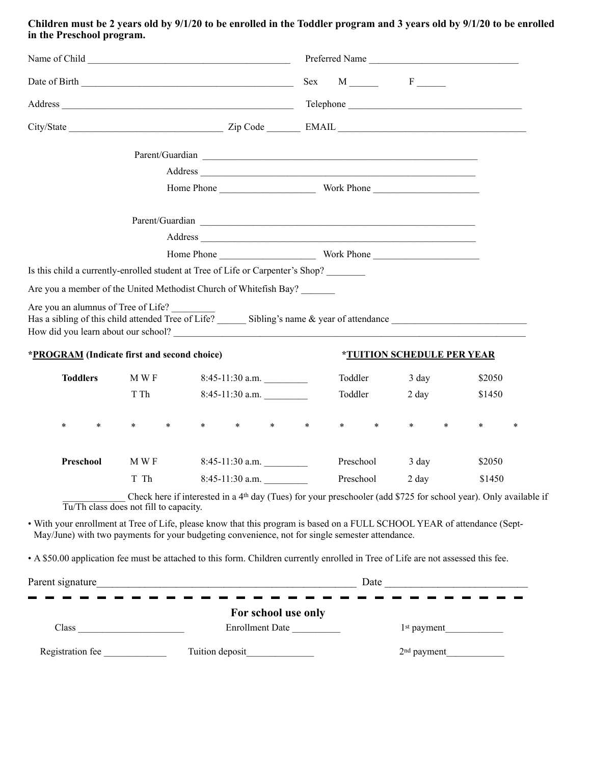**Children must be 2 years old by 9/1/20 to be enrolled in the Toddler program and 3 years old by 9/1/20 to be enrolled in the Preschool program.** 

|                                                                                                                                                                                                                                           |                                                                                                                                                                                                                              |        |             |                   |                   |                                        | Preferred Name |                         |         |                                          |                 |        |                                                                                                                              |  |
|-------------------------------------------------------------------------------------------------------------------------------------------------------------------------------------------------------------------------------------------|------------------------------------------------------------------------------------------------------------------------------------------------------------------------------------------------------------------------------|--------|-------------|-------------------|-------------------|----------------------------------------|----------------|-------------------------|---------|------------------------------------------|-----------------|--------|------------------------------------------------------------------------------------------------------------------------------|--|
|                                                                                                                                                                                                                                           |                                                                                                                                                                                                                              |        |             |                   |                   |                                        |                |                         |         | $Sex$ M $F$                              |                 |        |                                                                                                                              |  |
|                                                                                                                                                                                                                                           |                                                                                                                                                                                                                              |        |             |                   |                   |                                        |                |                         |         |                                          |                 |        |                                                                                                                              |  |
|                                                                                                                                                                                                                                           |                                                                                                                                                                                                                              |        |             |                   |                   |                                        |                |                         |         |                                          |                 |        |                                                                                                                              |  |
|                                                                                                                                                                                                                                           |                                                                                                                                                                                                                              |        |             |                   |                   |                                        |                |                         |         |                                          |                 |        |                                                                                                                              |  |
| Parent/Guardian Lawrence and Contact and Contact and Contact and Contact and Contact and Contact and Contact and Contact and Contact and Contact and Contact and Contact and Contact and Contact and Contact and Contact and C<br>Address |                                                                                                                                                                                                                              |        |             |                   |                   |                                        |                |                         |         |                                          |                 |        |                                                                                                                              |  |
|                                                                                                                                                                                                                                           |                                                                                                                                                                                                                              |        |             |                   |                   |                                        |                |                         |         |                                          |                 |        |                                                                                                                              |  |
|                                                                                                                                                                                                                                           |                                                                                                                                                                                                                              |        |             |                   |                   |                                        |                |                         |         |                                          |                 |        |                                                                                                                              |  |
|                                                                                                                                                                                                                                           |                                                                                                                                                                                                                              |        |             |                   |                   |                                        |                |                         |         |                                          |                 |        |                                                                                                                              |  |
|                                                                                                                                                                                                                                           |                                                                                                                                                                                                                              |        |             |                   |                   |                                        |                |                         |         |                                          |                 |        |                                                                                                                              |  |
|                                                                                                                                                                                                                                           | Is this child a currently-enrolled student at Tree of Life or Carpenter's Shop?                                                                                                                                              |        |             |                   |                   |                                        |                |                         |         |                                          |                 |        |                                                                                                                              |  |
|                                                                                                                                                                                                                                           | Are you a member of the United Methodist Church of Whitefish Bay?                                                                                                                                                            |        |             |                   |                   |                                        |                |                         |         |                                          |                 |        |                                                                                                                              |  |
|                                                                                                                                                                                                                                           | Are you an alumnus of Tree of Life?<br>How did you learn about our school?                                                                                                                                                   |        |             |                   |                   |                                        |                |                         |         |                                          |                 |        |                                                                                                                              |  |
|                                                                                                                                                                                                                                           | *PROGRAM (Indicate first and second choice)                                                                                                                                                                                  |        |             |                   |                   |                                        |                |                         |         | <i><b>*TUITION SCHEDULE PER YEAR</b></i> |                 |        |                                                                                                                              |  |
|                                                                                                                                                                                                                                           | <b>Toddlers</b>                                                                                                                                                                                                              |        | M W F       |                   | $8:45-11:30$ a.m. |                                        |                | Toddler                 |         | $3 \text{ day}$                          |                 |        | \$2050                                                                                                                       |  |
|                                                                                                                                                                                                                                           |                                                                                                                                                                                                                              |        | T Th        | $8:45-11:30$ a.m. |                   |                                        |                |                         | Toddler |                                          | $2 \text{ day}$ |        | \$1450                                                                                                                       |  |
| $\ast$                                                                                                                                                                                                                                    | $\ast$                                                                                                                                                                                                                       | $\ast$ | $*$ and $*$ | $*$ and $*$       |                   | * * *                                  |                |                         | $*$ *   | $*$ $*$                                  | $\ast$          | $\ast$ | $\ast$                                                                                                                       |  |
|                                                                                                                                                                                                                                           | Preschool                                                                                                                                                                                                                    |        | M W F       | $8:45-11:30$ a.m. |                   |                                        |                | Preschool               |         | $3 \text{ day}$                          |                 |        | \$2050                                                                                                                       |  |
|                                                                                                                                                                                                                                           |                                                                                                                                                                                                                              | T Th   |             | $8:45-11:30$ a.m. |                   |                                        |                |                         |         | Preschool 2 day                          |                 | \$1450 |                                                                                                                              |  |
|                                                                                                                                                                                                                                           | Tu/Th class does not fill to capacity.                                                                                                                                                                                       |        |             |                   |                   |                                        |                |                         |         |                                          |                 |        | Check here if interested in a 4 <sup>th</sup> day (Tues) for your preschooler (add \$725 for school year). Only available if |  |
|                                                                                                                                                                                                                                           | • With your enrollment at Tree of Life, please know that this program is based on a FULL SCHOOL YEAR of attendance (Sept-<br>May/June) with two payments for your budgeting convenience, not for single semester attendance. |        |             |                   |                   |                                        |                |                         |         |                                          |                 |        |                                                                                                                              |  |
|                                                                                                                                                                                                                                           | • A \$50.00 application fee must be attached to this form. Children currently enrolled in Tree of Life are not assessed this fee.                                                                                            |        |             |                   |                   |                                        |                |                         |         |                                          |                 |        |                                                                                                                              |  |
|                                                                                                                                                                                                                                           |                                                                                                                                                                                                                              |        |             |                   |                   |                                        |                |                         |         |                                          |                 |        |                                                                                                                              |  |
|                                                                                                                                                                                                                                           |                                                                                                                                                                                                                              |        |             |                   |                   |                                        |                |                         |         |                                          |                 |        |                                                                                                                              |  |
|                                                                                                                                                                                                                                           | Class                                                                                                                                                                                                                        |        |             |                   |                   | For school use only<br>Enrollment Date |                |                         |         |                                          |                 |        |                                                                                                                              |  |
| Registration fee                                                                                                                                                                                                                          |                                                                                                                                                                                                                              |        |             |                   |                   |                                        |                | 1 <sup>st</sup> payment |         |                                          |                 |        |                                                                                                                              |  |